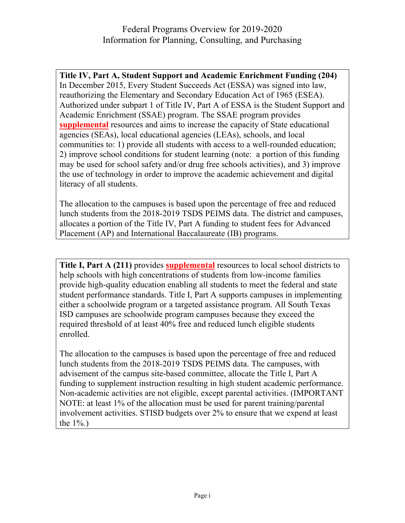## Federal Programs Overview for 2019-2020 Information for Planning, Consulting, and Purchasing

**Title IV, Part A, Student Support and Academic Enrichment Funding (204)** In December 2015, Every Student Succeeds Act (ESSA) was signed into law, reauthorizing the Elementary and Secondary Education Act of 1965 (ESEA). Authorized under subpart 1 of Title IV, Part A of ESSA is the Student Support and Academic Enrichment (SSAE) program. The SSAE program provides **supplemental** resources and aims to increase the capacity of State educational agencies (SEAs), local educational agencies (LEAs), schools, and local communities to: 1) provide all students with access to a well-rounded education; 2) improve school conditions for student learning (note: a portion of this funding may be used for school safety and/or drug free schools activities), and 3) improve the use of technology in order to improve the academic achievement and digital literacy of all students.

The allocation to the campuses is based upon the percentage of free and reduced lunch students from the 2018-2019 TSDS PEIMS data. The district and campuses, allocates a portion of the Title IV, Part A funding to student fees for Advanced Placement (AP) and International Baccalaureate (IB) programs.

**Title I, Part A (211)** provides **supplemental** resources to local school districts to help schools with high concentrations of students from low-income families provide high-quality education enabling all students to meet the federal and state student performance standards. Title I, Part A supports campuses in implementing either a schoolwide program or a targeted assistance program. All South Texas ISD campuses are schoolwide program campuses because they exceed the required threshold of at least 40% free and reduced lunch eligible students enrolled.

The allocation to the campuses is based upon the percentage of free and reduced lunch students from the 2018-2019 TSDS PEIMS data. The campuses, with advisement of the campus site-based committee, allocate the Title I, Part A funding to supplement instruction resulting in high student academic performance. Non-academic activities are not eligible, except parental activities. (IMPORTANT NOTE: at least 1% of the allocation must be used for parent training/parental involvement activities. STISD budgets over 2% to ensure that we expend at least the  $1\%$ .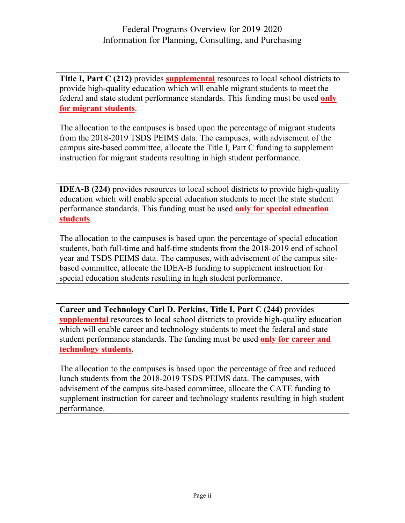**Title I, Part C (212)** provides **supplemental** resources to local school districts to provide high-quality education which will enable migrant students to meet the federal and state student performance standards. This funding must be used **only for migrant students**.

The allocation to the campuses is based upon the percentage of migrant students from the 2018-2019 TSDS PEIMS data. The campuses, with advisement of the campus site-based committee, allocate the Title I, Part C funding to supplement instruction for migrant students resulting in high student performance.

**IDEA-B (224)** provides resources to local school districts to provide high-quality education which will enable special education students to meet the state student performance standards. This funding must be used **only for special education students**.

The allocation to the campuses is based upon the percentage of special education students, both full-time and half-time students from the 2018-2019 end of school year and TSDS PEIMS data. The campuses, with advisement of the campus sitebased committee, allocate the IDEA-B funding to supplement instruction for special education students resulting in high student performance.

**Career and Technology Carl D. Perkins, Title I, Part C (244)** provides **supplemental** resources to local school districts to provide high-quality education which will enable career and technology students to meet the federal and state student performance standards. The funding must be used **only for career and technology students**.

The allocation to the campuses is based upon the percentage of free and reduced lunch students from the 2018-2019 TSDS PEIMS data. The campuses, with advisement of the campus site-based committee, allocate the CATE funding to supplement instruction for career and technology students resulting in high student performance.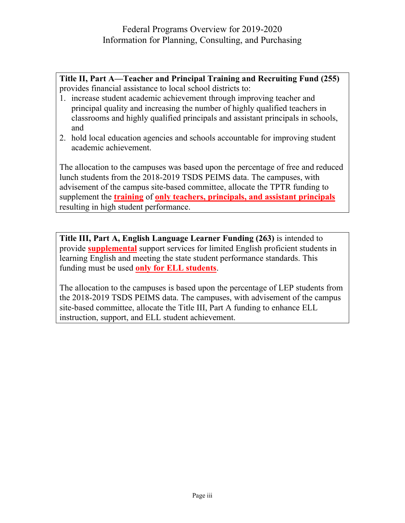**Title II, Part A—Teacher and Principal Training and Recruiting Fund (255)** provides financial assistance to local school districts to:

- 1. increase student academic achievement through improving teacher and principal quality and increasing the number of highly qualified teachers in classrooms and highly qualified principals and assistant principals in schools, and
- 2. hold local education agencies and schools accountable for improving student academic achievement.

The allocation to the campuses was based upon the percentage of free and reduced lunch students from the 2018-2019 TSDS PEIMS data. The campuses, with advisement of the campus site-based committee, allocate the TPTR funding to supplement the **training** of **only teachers, principals, and assistant principals** resulting in high student performance.

**Title III, Part A, English Language Learner Funding (263)** is intended to provide **supplemental** support services for limited English proficient students in learning English and meeting the state student performance standards. This funding must be used **only for ELL students**.

The allocation to the campuses is based upon the percentage of LEP students from the 2018-2019 TSDS PEIMS data. The campuses, with advisement of the campus site-based committee, allocate the Title III, Part A funding to enhance ELL instruction, support, and ELL student achievement.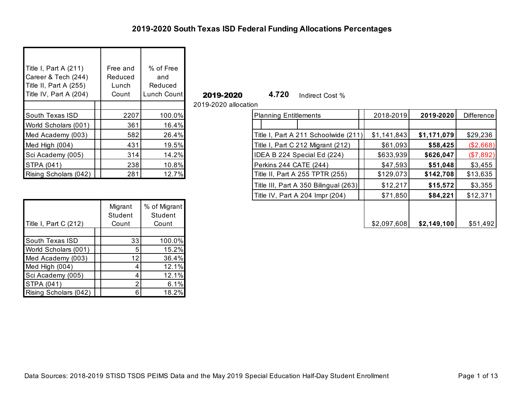| Title I, Part A (211)<br>Career & Tech (244)<br>Title II, Part A (255)<br>Title IV, Part A (204) | Free and<br>Reduced<br>Lunch<br>Count | % of Free<br>and<br>Reduced<br>Lunch Count |
|--------------------------------------------------------------------------------------------------|---------------------------------------|--------------------------------------------|
|                                                                                                  |                                       |                                            |
| <b>South Texas ISD</b>                                                                           | 2207                                  | 100.0%                                     |
| World Scholars (001)                                                                             | 361                                   | 16.4%                                      |
| Med Academy (003)                                                                                | 582                                   | 26.4%                                      |
| Med High (004)                                                                                   | 431                                   | 19.5%                                      |
| Sci Academy (005)                                                                                | 314                                   | 14.2%                                      |
| <b>STPA (041)</b>                                                                                | 238                                   | 10.8%                                      |
| Rising Scholars (042)                                                                            | 281                                   | 12.7%                                      |

**2019-2020 4.720** Indirect Cost %

2019-2020 allocation

| 2207                      |                         | <b>Planning Entitlements</b>                     | 2018-2019   | 2019-2020                                                                                                            | Difference  |
|---------------------------|-------------------------|--------------------------------------------------|-------------|----------------------------------------------------------------------------------------------------------------------|-------------|
| 361                       | 16.4%                   |                                                  |             |                                                                                                                      |             |
|                           | 26.4%                   |                                                  | \$1,141,843 | \$1,171,079                                                                                                          | \$29,236    |
| 431                       | 19.5%                   | Title I, Part C 212 Migrant (212)                |             | \$58,425                                                                                                             | ( \$2,668)  |
|                           | 14.2%                   | IDEA B 224 Special Ed (224)                      | \$633,939   | \$626,047                                                                                                            | ( \$7,892)  |
|                           | 10.8%                   | Perkins 244 CATE (244)                           | \$47,593    | \$51,048                                                                                                             | \$3,455     |
| 281                       |                         | Title II, Part A 255 TPTR (255)                  | \$129,073   | \$142,708                                                                                                            | \$13,635    |
|                           |                         |                                                  | \$12,217    | \$15,572                                                                                                             | \$3,355     |
|                           |                         | Title IV, Part A 204 Impr (204)                  |             | \$84,221                                                                                                             | \$12,371    |
| Migrant<br><b>Student</b> | % of Migrant<br>Student |                                                  |             |                                                                                                                      | \$51,492    |
|                           | Count                   | $100.0\%$<br>582<br>314<br>238<br>12.7%<br>Count |             | Title I, Part A 211 Schoolwide (211)<br>\$61,093<br>Title III, Part A 350 Bilingual (263)<br>\$71,850<br>\$2,097,608 | \$2,149,100 |

| Title I, Part C (212) | Migrant<br>Student<br>Count | % of Migrant<br>Student<br>Count |
|-----------------------|-----------------------------|----------------------------------|
|                       |                             |                                  |
| South Texas ISD       | 33                          | 100.0%                           |
| World Scholars (001)  | 5                           | 15.2%                            |
| Med Academy (003)     | 12                          | 36.4%                            |
| Med High (004)        | 4                           | 12.1%                            |
| Sci Academy (005)     | 4                           | 12.1%                            |
| STPA (041)            | 2                           | 6.1%                             |
| Rising Scholars (042) | 6                           | 18.2%                            |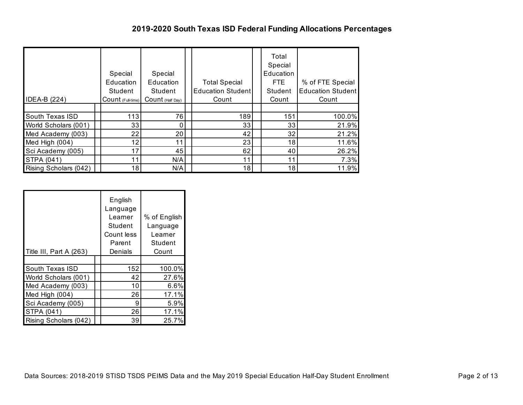### **2019-2020 South Texas ISD Federal Funding Allocations Percentages**

| <b>IDEA-B (224)</b>    | Special<br>Education<br>Student<br>$Count$ (Full-time) | Special<br>Education<br>Student<br>$Count$ (Half Day) | <b>Total Special</b><br>Education Student<br>Count | Total<br>Special<br>Education<br>FTE<br>Student<br>Count | % of FTE Special<br><b>Education Student</b><br>Count |
|------------------------|--------------------------------------------------------|-------------------------------------------------------|----------------------------------------------------|----------------------------------------------------------|-------------------------------------------------------|
|                        |                                                        |                                                       |                                                    |                                                          |                                                       |
| <b>South Texas ISD</b> | 113                                                    | 76                                                    | 189                                                | 151                                                      | 100.0%                                                |
| World Scholars (001)   | 33                                                     |                                                       | 33                                                 | 33                                                       | 21.9%                                                 |
| Med Academy (003)      | 22                                                     | 20                                                    | 42                                                 | 32                                                       | 21.2%                                                 |
| Med High (004)         | 12                                                     | 11                                                    | 23                                                 | 18                                                       | 11.6%                                                 |
| Sci Academy (005)      | 17                                                     | 45                                                    | 62                                                 | 40                                                       | 26.2%                                                 |
| <b>STPA (041)</b>      | 11                                                     | N/A                                                   | 11                                                 | 11                                                       | 7.3%                                                  |
| Rising Scholars (042)  | 18                                                     | N/A                                                   | 18                                                 | 18                                                       | 11.9%                                                 |

| Title III, Part A (263) | English<br>Language<br>Learner<br>Student<br>Count less<br>Parent<br>Denials | % of English<br>Language<br>Learner<br>Student<br>Count |
|-------------------------|------------------------------------------------------------------------------|---------------------------------------------------------|
|                         |                                                                              |                                                         |
| South Texas ISD         | 152                                                                          | 100.0%                                                  |
| World Scholars (001)    | 42                                                                           | 27.6%                                                   |
| Med Academy (003)       | 10                                                                           | 6.6%                                                    |
| Med High (004)          | 26                                                                           | 17.1%                                                   |
| Sci Academy (005)       | 9                                                                            | 5.9%                                                    |
| STPA (041)              | 26                                                                           | 17.1%                                                   |
| Rising Scholars (042)   | 39                                                                           | 25.7%                                                   |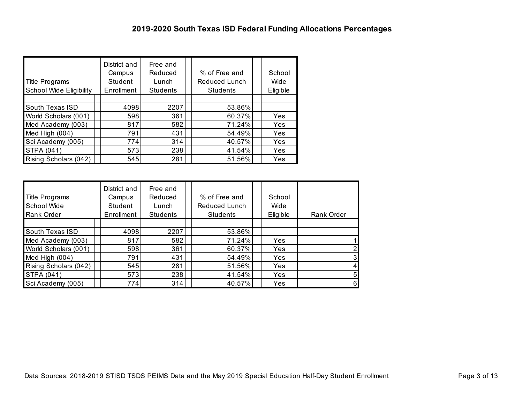| <b>Title Programs</b><br><b>School Wide Eligibility</b> | District and<br>Campus<br>Student<br>Enrollment | Free and<br>Reduced<br>Lunch<br><b>Students</b> | % of Free and<br>Reduced Lunch<br>Students | School<br>Wide<br>Eligible |
|---------------------------------------------------------|-------------------------------------------------|-------------------------------------------------|--------------------------------------------|----------------------------|
|                                                         |                                                 |                                                 |                                            |                            |
| South Texas ISD                                         | 4098                                            | 2207                                            | 53.86%                                     |                            |
| World Scholars (001)                                    | 598                                             | 361                                             | 60.37%                                     | Yes                        |
| Med Academy (003)                                       | 817                                             | 582                                             | 71.24%                                     | Yes                        |
| Med High (004)                                          | 791                                             | 431                                             | 54.49%                                     | Yes                        |
| Sci Academy (005)                                       | 774                                             | 314                                             | 40.57%                                     | Yes                        |
| STPA (041)                                              | 573                                             | 238                                             | 41.54%                                     | Yes                        |
| Rising Scholars (042)                                   | 545                                             | 281                                             | 51.56%                                     | Yes                        |

| <b>Title Programs</b><br>School Wide<br>Rank Order | District and<br>Campus<br>Student<br>Enrollment | Free and<br>Reduced<br>Lunch<br><b>Students</b> | % of Free and<br>Reduced Lunch<br><b>Students</b> | School<br>Wide<br>Eligible | Rank Order |
|----------------------------------------------------|-------------------------------------------------|-------------------------------------------------|---------------------------------------------------|----------------------------|------------|
| South Texas ISD                                    | 4098                                            | 2207                                            | 53.86%                                            |                            |            |
| Med Academy (003)                                  | 817                                             | 582                                             | 71.24%                                            | Yes                        |            |
| World Scholars (001)                               | 598                                             | 361                                             | 60.37%                                            | Yes                        |            |
| Med High (004)                                     | 791                                             | 431                                             | 54.49%                                            | Yes                        | 3          |
| Rising Scholars (042)                              | 545                                             | 281                                             | 51.56%                                            | Yes                        |            |
| <b>STPA (041)</b>                                  | 573                                             | 238                                             | 41.54%                                            | Yes                        | 5          |
| Sci Academy (005)                                  | 774                                             | 314                                             | 40.57%                                            | Yes                        | $6 \mid$   |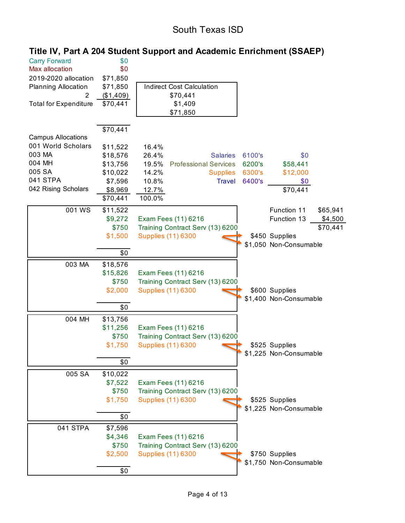## South Texas ISD

| <b>Carry Forward</b><br>Max allocation<br>2019-2020 allocation | \$0<br>\$0<br>\$71,850 |                                                             |
|----------------------------------------------------------------|------------------------|-------------------------------------------------------------|
| <b>Planning Allocation</b>                                     | \$71,850               | <b>Indirect Cost Calculation</b>                            |
|                                                                | (\$1,409)              | \$70,441                                                    |
| <b>Total for Expenditure</b>                                   | \$70,441               | \$1,409                                                     |
|                                                                |                        | \$71,850                                                    |
|                                                                | \$70,441               |                                                             |
| <b>Campus Allocations</b>                                      |                        |                                                             |
| 001 World Scholars                                             | \$11,522               | 16.4%                                                       |
| 003 MA                                                         | \$18,576               | 26.4%<br>6100's<br>\$0<br><b>Salaries</b>                   |
| 004 MH                                                         | \$13,756               | 19.5%<br><b>Professional Services</b><br>\$58,441<br>6200's |
| 005 SA                                                         | \$10,022               | 14.2%<br>\$12,000<br>6300's<br><b>Supplies</b>              |
| 041 STPA                                                       | \$7,596                | 10.8%<br><b>Travel</b><br>6400's<br>\$0                     |
| 042 Rising Scholars                                            | \$8,969                | \$70,441<br>12.7%                                           |
|                                                                | \$70,441               | 100.0%                                                      |
| 001 WS                                                         | \$11,522               | Function 11<br>\$65,941                                     |
|                                                                | \$9,272                | Function 13<br>Exam Fees (11) 6216<br>\$4,500               |
|                                                                | \$750                  | Training Contract Serv (13) 6200<br>\$70,441                |
|                                                                | \$1,500                | <b>Supplies (11) 6300</b><br>\$450 Supplies                 |
|                                                                |                        | \$1,050 Non-Consumable                                      |
|                                                                | \$0                    |                                                             |
| 003 MA                                                         | \$18,576               |                                                             |
|                                                                | \$15,826               | Exam Fees (11) 6216                                         |
|                                                                | \$750                  | Training Contract Serv (13) 6200                            |
|                                                                | \$2,000                | <b>Supplies (11) 6300</b><br>\$600 Supplies                 |
|                                                                |                        | \$1,400 Non-Consumable                                      |
|                                                                | \$0                    |                                                             |
| 004 MH                                                         | \$13,756               |                                                             |
|                                                                | \$11,256               | Exam Fees (11) 6216                                         |
|                                                                | \$750                  | Training Contract Serv (13) 6200                            |
|                                                                | \$1,750                | <b>Supplies (11) 6300</b><br>\$525 Supplies                 |
|                                                                | \$0                    | \$1,225 Non-Consumable                                      |
| 005 SA                                                         | \$10,022               |                                                             |
|                                                                | \$7,522                | Exam Fees (11) 6216                                         |
|                                                                | \$750                  | Training Contract Serv (13) 6200                            |
|                                                                | \$1,750                | <b>Supplies (11) 6300</b><br>\$525 Supplies                 |
|                                                                |                        | \$1,225 Non-Consumable                                      |
|                                                                | \$0                    |                                                             |
| 041 STPA                                                       | \$7,596                |                                                             |
|                                                                | \$4,346                | Exam Fees (11) 6216                                         |
|                                                                | \$750                  | Training Contract Serv (13) 6200                            |
|                                                                | \$2,500                | <b>Supplies (11) 6300</b><br>\$750 Supplies                 |
|                                                                |                        | \$1,750 Non-Consumable                                      |
|                                                                | \$0                    |                                                             |

# **Title IV, Part A 204 Student Support and Academic Enrichment (SSAEP)**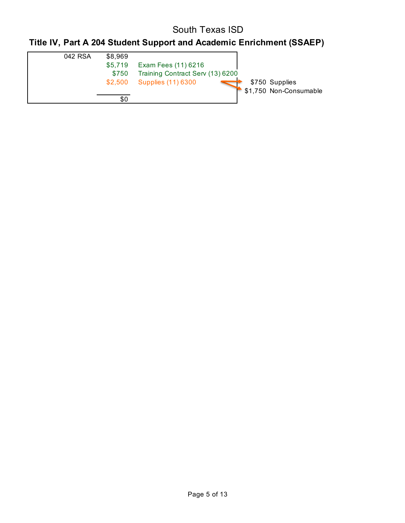## South Texas ISD

# **Title IV, Part A 204 Student Support and Academic Enrichment (SSAEP)**

| 042 RSA | \$8,969 |                                  |                        |
|---------|---------|----------------------------------|------------------------|
|         | \$5,719 | Exam Fees (11) 6216              |                        |
|         | \$750   | Training Contract Serv (13) 6200 |                        |
|         | \$2,500 | <b>Supplies (11) 6300</b>        | \$750 Supplies         |
|         |         |                                  | \$1,750 Non-Consumable |
|         | \$0     |                                  |                        |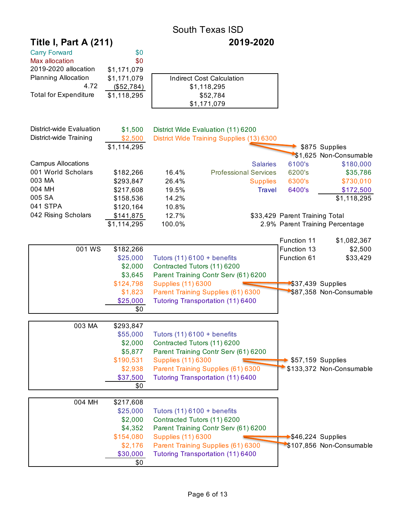|                              |             |                           | <b>South Texas ISD</b>                    |                                 |                                 |
|------------------------------|-------------|---------------------------|-------------------------------------------|---------------------------------|---------------------------------|
| <b>Title I, Part A (211)</b> |             |                           | 2019-2020                                 |                                 |                                 |
| <b>Carry Forward</b>         | \$0         |                           |                                           |                                 |                                 |
| Max allocation               | \$0         |                           |                                           |                                 |                                 |
| 2019-2020 allocation         | \$1,171,079 |                           |                                           |                                 |                                 |
| <b>Planning Allocation</b>   | \$1,171,079 |                           | <b>Indirect Cost Calculation</b>          |                                 |                                 |
| 4.72                         | (\$52,784)  |                           | \$1,118,295                               |                                 |                                 |
| <b>Total for Expenditure</b> | \$1,118,295 |                           | \$52,784                                  |                                 |                                 |
|                              |             |                           | \$1,171,079                               |                                 |                                 |
|                              |             |                           |                                           |                                 |                                 |
| District-wide Evaluation     | \$1,500     |                           | District Wide Evaluation (11) 6200        |                                 |                                 |
| District-wide Training       | \$2,500     |                           | District Wide Training Supplies (13) 6300 |                                 |                                 |
|                              | \$1,114,295 |                           |                                           |                                 | \$875 Supplies                  |
|                              |             |                           |                                           |                                 | \$1,625 Non-Consumable          |
| <b>Campus Allocations</b>    |             |                           | <b>Salaries</b>                           | 6100's                          | \$180,000                       |
| 001 World Scholars           | \$182,266   | 16.4%                     | <b>Professional Services</b>              | 6200's                          | \$35,786                        |
| 003 MA                       | \$293,847   | 26.4%                     | <b>Supplies</b>                           | 6300's                          | \$730,010                       |
| 004 MH                       | \$217,608   | 19.5%                     | <b>Travel</b>                             | 6400's                          | \$172,500                       |
| 005 SA                       | \$158,536   | 14.2%                     |                                           |                                 | \$1,118,295                     |
| 041 STPA                     | \$120,164   | 10.8%                     |                                           |                                 |                                 |
| 042 Rising Scholars          | \$141,875   | 12.7%                     |                                           | \$33,429 Parent Training Total  |                                 |
|                              | \$1,114,295 | 100.0%                    |                                           |                                 | 2.9% Parent Training Percentage |
|                              |             |                           |                                           | Function 11                     | \$1,082,367                     |
| 001 WS                       | \$182,266   |                           |                                           | Function 13                     | \$2,500                         |
|                              | \$25,000    |                           | Tutors $(11)$ 6100 + benefits             | Function 61                     | \$33,429                        |
|                              | \$2,000     |                           | Contracted Tutors (11) 6200               |                                 |                                 |
|                              | \$3,645     |                           | Parent Training Contr Serv (61) 6200      |                                 |                                 |
|                              | \$124,798   | <b>Supplies (11) 6300</b> |                                           |                                 | $$37,439$ Supplies              |
|                              | \$1,823     |                           | Parent Training Supplies (61) 6300        |                                 | \$87,358 Non-Consumable         |
|                              | \$25,000    |                           | Tutoring Transportation (11) 6400         |                                 |                                 |
|                              | \$0         |                           |                                           |                                 |                                 |
| 003 MA                       | \$293,847   |                           |                                           |                                 |                                 |
|                              | \$55,000    |                           | Tutors $(11)$ 6100 + benefits             |                                 |                                 |
|                              | \$2,000     |                           | Contracted Tutors (11) 6200               |                                 |                                 |
|                              | \$5,877     |                           | Parent Training Contr Serv (61) 6200      |                                 |                                 |
|                              | \$190,531   | <b>Supplies (11) 6300</b> |                                           |                                 | \$57,159 Supplies               |
|                              | \$2,938     |                           | Parent Training Supplies (61) 6300        |                                 | \$133,372 Non-Consumable        |
|                              | \$37,500    |                           | Tutoring Transportation (11) 6400         |                                 |                                 |
|                              | \$0         |                           |                                           |                                 |                                 |
|                              |             |                           |                                           |                                 |                                 |
| 004 MH                       | \$217,608   |                           |                                           |                                 |                                 |
|                              | \$25,000    |                           | Tutors $(11)$ 6100 + benefits             |                                 |                                 |
|                              | \$2,000     |                           | Contracted Tutors (11) 6200               |                                 |                                 |
|                              | \$4,352     |                           | Parent Training Contr Serv (61) 6200      |                                 |                                 |
|                              | \$154,080   | <b>Supplies (11) 6300</b> |                                           | $\rightarrow$ \$46,224 Supplies |                                 |
|                              | \$2,176     |                           | Parent Training Supplies (61) 6300        |                                 | \$107,856 Non-Consumable        |
|                              | \$30,000    |                           | Tutoring Transportation (11) 6400         |                                 |                                 |
|                              | \$0         |                           |                                           |                                 |                                 |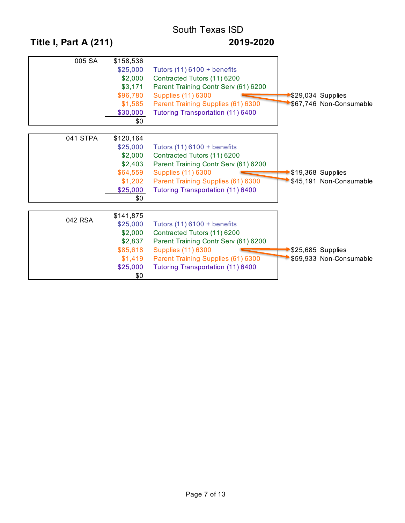# South Texas ISD **Title I, Part A (211) 2019-2020**

| 005 SA   | \$158,536<br>\$25,000<br>\$2,000<br>\$3,171<br>\$96,780<br>\$1,585<br>\$30,000<br>\$0 | Tutors $(11)$ 6100 + benefits<br>Contracted Tutors (11) 6200<br>Parent Training Contr Serv (61) 6200<br><b>Supplies (11) 6300</b><br>Parent Training Supplies (61) 6300<br>Tutoring Transportation (11) 6400        |                  | $\blacktriangleright$ \$29,034 Supplies<br>\$67,746 Non-Consumable |
|----------|---------------------------------------------------------------------------------------|---------------------------------------------------------------------------------------------------------------------------------------------------------------------------------------------------------------------|------------------|--------------------------------------------------------------------|
| 041 STPA | \$120,164<br>\$25,000<br>\$2,000<br>\$2,403<br>\$64,559<br>\$1,202<br>\$25,000<br>\$0 | Tutors $(11)$ 6100 + benefits<br>Contracted Tutors (11) 6200<br>Parent Training Contr Serv (61) 6200<br><b>Supplies (11) 6300</b><br>Parent Training Supplies (61) 6300<br>Tutoring Transportation (11) 6400        | S19,368 Supplies | \$45,191 Non-Consumable                                            |
| 042 RSA  | \$141,875<br>\$25,000<br>\$2,000<br>\$2,837<br>\$85,618<br>\$1,419<br>\$25,000<br>\$0 | Tutors $(11)$ 6100 + benefits<br>Contracted Tutors (11) 6200<br>Parent Training Contr Serv (61) 6200<br><b>Supplies (11) 6300</b><br>Parent Training Supplies (61) 6300<br><b>Tutoring Transportation (11) 6400</b> | S25,685 Supplies | \$59,933 Non-Consumable                                            |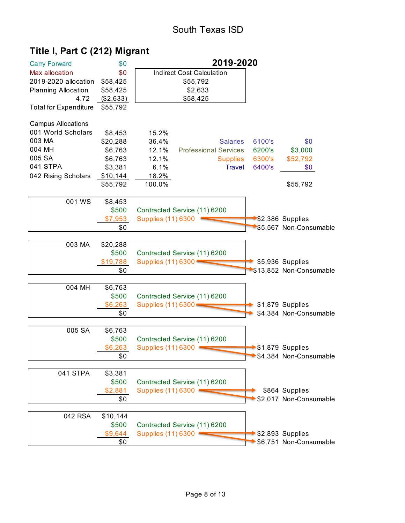# **Title I, Part C (212) Migrant**

| <b>Carry Forward</b>         | \$0       | 2019-2020                 |                                  |        |                         |
|------------------------------|-----------|---------------------------|----------------------------------|--------|-------------------------|
| Max allocation               | \$0       |                           | <b>Indirect Cost Calculation</b> |        |                         |
| 2019-2020 allocation         | \$58,425  |                           | \$55,792                         |        |                         |
| <b>Planning Allocation</b>   | \$58,425  |                           | \$2,633                          |        |                         |
| 4.72                         | (\$2,633) |                           | \$58,425                         |        |                         |
| <b>Total for Expenditure</b> | \$55,792  |                           |                                  |        |                         |
| <b>Campus Allocations</b>    |           |                           |                                  |        |                         |
| 001 World Scholars           | \$8,453   | 15.2%                     |                                  |        |                         |
| 003 MA                       | \$20,288  | 36.4%                     | <b>Salaries</b>                  | 6100's | \$0                     |
| 004 MH                       | \$6,763   | 12.1%                     | <b>Professional Services</b>     | 6200's | \$3,000                 |
| 005 SA                       | \$6,763   | 12.1%                     | <b>Supplies</b>                  | 6300's | \$52,792                |
| 041 STPA                     | \$3,381   | 6.1%                      | <b>Travel</b>                    | 6400's | \$0                     |
| 042 Rising Scholars          | \$10,144  | 18.2%                     |                                  |        |                         |
|                              | \$55,792  | 100.0%                    |                                  |        | \$55,792                |
|                              |           |                           |                                  |        |                         |
| 001 WS                       | \$8,453   |                           |                                  |        |                         |
|                              | \$500     |                           | Contracted Service (11) 6200     |        |                         |
|                              | \$7,953   | <b>Supplies (11) 6300</b> |                                  |        | \$2,386 Supplies        |
|                              | \$0       |                           |                                  |        | \$5,567 Non-Consumable  |
|                              |           |                           |                                  |        |                         |
| 003 MA                       | \$20,288  |                           |                                  |        |                         |
|                              | \$500     |                           | Contracted Service (11) 6200     |        |                         |
|                              | \$19,788  | Supplies (11) 6300        |                                  |        | \$5,936 Supplies        |
|                              | \$0       |                           |                                  |        | \$13,852 Non-Consumable |
|                              |           |                           |                                  |        |                         |
| 004 MH                       | \$6,763   |                           |                                  |        |                         |
|                              | \$500     |                           | Contracted Service (11) 6200     |        |                         |
|                              | \$6,263   | Supplies (11) 6300        |                                  |        | \$1,879 Supplies        |
|                              | \$0       |                           |                                  |        | \$4,384 Non-Consumable  |
|                              |           |                           |                                  |        |                         |
| 005 SA                       | \$6,763   |                           |                                  |        |                         |
|                              | \$500     |                           | Contracted Service (11) 6200     |        |                         |
|                              | \$6,263   | <b>Supplies (11) 6300</b> |                                  |        | \$1,879 Supplies        |
|                              | \$0       |                           |                                  |        | \$4,384 Non-Consumable  |
|                              |           |                           |                                  |        |                         |
| 041 STPA                     | \$3,381   |                           |                                  |        |                         |
|                              | \$500     |                           | Contracted Service (11) 6200     |        |                         |
|                              | \$2,881   | Supplies (11) 6300 =      |                                  |        | \$864 Supplies          |
|                              | \$0       |                           |                                  |        | \$2,017 Non-Consumable  |
|                              |           |                           |                                  |        |                         |
| 042 RSA                      | \$10,144  |                           |                                  |        |                         |
|                              | \$500     |                           | Contracted Service (11) 6200     |        |                         |
|                              | \$9,644   | <b>Supplies (11) 6300</b> |                                  |        | \$2,893 Supplies        |
|                              | \$0       |                           |                                  |        | \$6,751 Non-Consumable  |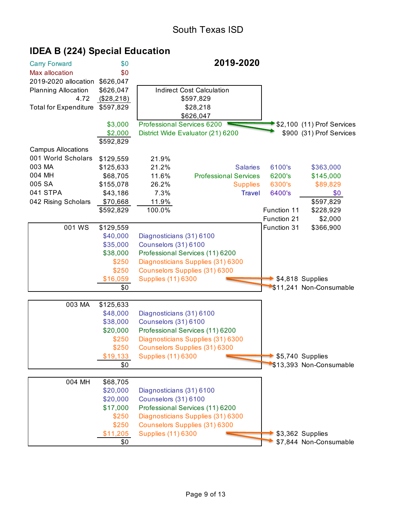| <b>Carry Forward</b>         | \$0        |                            | 2019-2020                            |             |                                                  |
|------------------------------|------------|----------------------------|--------------------------------------|-------------|--------------------------------------------------|
| Max allocation               | \$0        |                            |                                      |             |                                                  |
| 2019-2020 allocation         | \$626,047  |                            |                                      |             |                                                  |
| <b>Planning Allocation</b>   | \$626,047  |                            | <b>Indirect Cost Calculation</b>     |             |                                                  |
| 4.72                         | (\$28,218) |                            | \$597,829                            |             |                                                  |
| <b>Total for Expenditure</b> | \$597,829  |                            | \$28,218                             |             |                                                  |
|                              |            |                            | \$626,047                            |             |                                                  |
|                              | \$3,000    | Professional Services 6200 |                                      |             | $\blacktriangleright$ \$2,100 (11) Prof Services |
|                              | \$2,000    |                            | District Wide Evaluator (21) 6200    |             | \$900 (31) Prof Services                         |
|                              | \$592,829  |                            |                                      |             |                                                  |
| <b>Campus Allocations</b>    |            |                            |                                      |             |                                                  |
| 001 World Scholars           | \$129,559  | 21.9%                      |                                      |             |                                                  |
| 003 MA                       | \$125,633  | 21.2%                      | <b>Salaries</b>                      | 6100's      | \$363,000                                        |
| 004 MH                       | \$68,705   | 11.6%                      | <b>Professional Services</b>         | 6200's      | \$145,000                                        |
| 005 SA                       | \$155,078  | 26.2%                      | <b>Supplies</b>                      | 6300's      | \$89,829                                         |
| 041 STPA                     | \$43,186   | 7.3%                       | <b>Travel</b>                        | 6400's      | \$0                                              |
| 042 Rising Scholars          | \$70,668   | 11.9%                      |                                      |             | \$597,829                                        |
|                              | \$592,829  | 100.0%                     |                                      | Function 11 | \$228,929                                        |
|                              |            |                            |                                      | Function 21 | \$2,000                                          |
| 001 WS                       | \$129,559  |                            |                                      | Function 31 | \$366,900                                        |
|                              | \$40,000   | Diagnosticians (31) 6100   |                                      |             |                                                  |
|                              | \$35,000   | Counselors (31) 6100       |                                      |             |                                                  |
|                              | \$38,000   |                            | Professional Services (11) 6200      |             |                                                  |
|                              | \$250      |                            | Diagnosticians Supplies (31) 6300    |             |                                                  |
|                              | \$250      |                            | <b>Counselors Supplies (31) 6300</b> |             |                                                  |
|                              | \$16,059   | <b>Supplies (11) 6300</b>  |                                      |             | \$4,818 Supplies                                 |
|                              | \$0        |                            |                                      |             | \$11,241 Non-Consumable                          |
|                              |            |                            |                                      |             |                                                  |
| 003 MA                       | \$125,633  |                            |                                      |             |                                                  |
|                              | \$48,000   | Diagnosticians (31) 6100   |                                      |             |                                                  |
|                              | \$38,000   | Counselors (31) 6100       |                                      |             |                                                  |
|                              | \$20,000   |                            | Professional Services (11) 6200      |             |                                                  |
|                              | \$250      |                            | Diagnosticians Supplies (31) 6300    |             |                                                  |
|                              | \$250      |                            | Counselors Supplies (31) 6300        |             |                                                  |
|                              | \$19,133   | <b>Supplies (11) 6300</b>  |                                      |             | \$5,740 Supplies                                 |
|                              | \$0        |                            |                                      |             | \$13,393 Non-Consumable                          |
|                              |            |                            |                                      |             |                                                  |
| 004 MH                       | \$68,705   |                            |                                      |             |                                                  |
|                              | \$20,000   | Diagnosticians (31) 6100   |                                      |             |                                                  |
|                              | \$20,000   | Counselors (31) 6100       |                                      |             |                                                  |
|                              | \$17,000   |                            | Professional Services (11) 6200      |             |                                                  |
|                              | \$250      |                            | Diagnosticians Supplies (31) 6300    |             |                                                  |
|                              | \$250      |                            | Counselors Supplies (31) 6300        |             |                                                  |
|                              | \$11,205   | <b>Supplies (11) 6300</b>  |                                      |             | \$3,362 Supplies                                 |
|                              | \$0        |                            |                                      |             | \$7,844 Non-Consumable                           |

# **IDEA B (224) Special Education**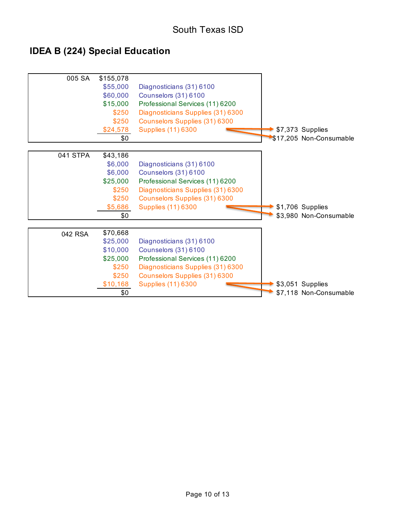# **IDEA B (224) Special Education**

| 005 SA   | \$155,078<br>\$55,000<br>\$60,000<br>\$15,000<br>\$250<br>\$250<br>\$24,578<br>\$0 | Diagnosticians (31) 6100<br>Counselors (31) 6100<br>Professional Services (11) 6200<br>Diagnosticians Supplies (31) 6300<br>Counselors Supplies (31) 6300<br><b>Supplies (11) 6300</b> | \$7,373 Supplies<br>\$17,205 Non-Consumable |
|----------|------------------------------------------------------------------------------------|----------------------------------------------------------------------------------------------------------------------------------------------------------------------------------------|---------------------------------------------|
| 041 STPA | \$43,186                                                                           |                                                                                                                                                                                        |                                             |
|          | \$6,000                                                                            | Diagnosticians (31) 6100                                                                                                                                                               |                                             |
|          | \$6,000                                                                            | Counselors (31) 6100                                                                                                                                                                   |                                             |
|          | \$25,000                                                                           | Professional Services (11) 6200                                                                                                                                                        |                                             |
|          | \$250                                                                              | Diagnosticians Supplies (31) 6300                                                                                                                                                      |                                             |
|          | \$250                                                                              | Counselors Supplies (31) 6300                                                                                                                                                          |                                             |
|          | \$5,686                                                                            | <b>Supplies (11) 6300</b>                                                                                                                                                              | \$1,706 Supplies                            |
|          | \$0                                                                                |                                                                                                                                                                                        | \$3,980 Non-Consumable                      |
|          |                                                                                    |                                                                                                                                                                                        |                                             |
| 042 RSA  | \$70,668                                                                           |                                                                                                                                                                                        |                                             |
|          | \$25,000<br>\$10,000                                                               | Diagnosticians (31) 6100<br>Counselors (31) 6100                                                                                                                                       |                                             |
|          | \$25,000                                                                           | Professional Services (11) 6200                                                                                                                                                        |                                             |
|          | \$250                                                                              | Diagnosticians Supplies (31) 6300                                                                                                                                                      |                                             |
|          | \$250                                                                              | <b>Counselors Supplies (31) 6300</b>                                                                                                                                                   |                                             |
|          | \$10,168                                                                           | <b>Supplies (11) 6300</b>                                                                                                                                                              | \$3,051 Supplies                            |
|          | \$0                                                                                |                                                                                                                                                                                        | \$7,118 Non-Consumable                      |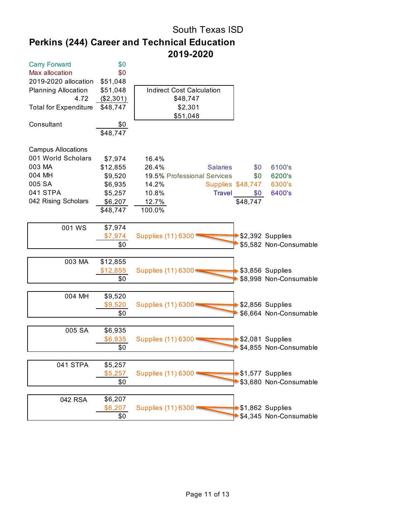# South Texas ISD **Perkins (244) Career and Technical Education 2019-2020**

| <b>Carry Forward</b>         | \$0       |                                               |
|------------------------------|-----------|-----------------------------------------------|
| Max allocation               | \$0       |                                               |
| 2019-2020 allocation         | \$51,048  |                                               |
| <b>Planning Allocation</b>   | \$51,048  | <b>Indirect Cost Calculation</b>              |
| 4.72                         | (\$2,301) | \$48,747                                      |
| <b>Total for Expenditure</b> | \$48,747  | \$2,301                                       |
|                              |           | \$51,048                                      |
| Consultant                   | \$0       |                                               |
|                              | \$48,747  |                                               |
|                              |           |                                               |
| <b>Campus Allocations</b>    |           |                                               |
| 001 World Scholars           | \$7,974   | 16.4%                                         |
| 003 MA                       | \$12,855  | 26.4%<br><b>Salaries</b><br>\$0<br>6100's     |
| 004 MH                       | \$9,520   | 19.5% Professional Services<br>\$0<br>6200's  |
| 005 SA                       | \$6,935   | 14.2%<br>Supplies \$48,747<br>6300's          |
| 041 STPA                     | \$5,257   | 10.8%<br><b>Travel</b><br>6400's<br>\$0       |
| 042 Rising Scholars          | \$6,207   | \$48,747<br>12.7%                             |
|                              | \$48,747  | 100.0%                                        |
|                              |           |                                               |
| 001 WS                       | \$7,974   |                                               |
|                              | \$7,974   | \$2,392 Supplies<br><b>Supplies (11) 6300</b> |
|                              | \$0       | \$5,582 Non-Consumable                        |
|                              |           |                                               |
| 003 MA                       | \$12,855  |                                               |
|                              | \$12,855  | \$3,856 Supplies<br>Supplies (11) 6300        |
|                              | \$0       | \$8,998 Non-Consumable                        |
|                              |           |                                               |
| 004 MH                       | \$9,520   |                                               |
|                              | \$9,520   | \$2,856 Supplies<br>Supplies (11) 6300        |
|                              | \$0       | \$6,664 Non-Consumable                        |
|                              |           |                                               |
| 005 SA                       | \$6,935   |                                               |
|                              | \$6,935   | \$2,081 Supplies<br><b>Supplies (11) 6300</b> |
|                              | \$0       | \$4,855 Non-Consumable                        |
| 041 STPA                     | \$5,257   |                                               |
|                              | \$5,257   | \$1,577 Supplies<br>Supplies (11) 6300        |
|                              |           | \$3,680 Non-Consumable                        |
|                              | \$0       |                                               |
| 042 RSA                      | \$6,207   |                                               |
|                              | \$6,207   | \$1,862 Supplies<br>Supplies (11) 6300 '      |
|                              | \$0       | \$4,345 Non-Consumable                        |
|                              |           |                                               |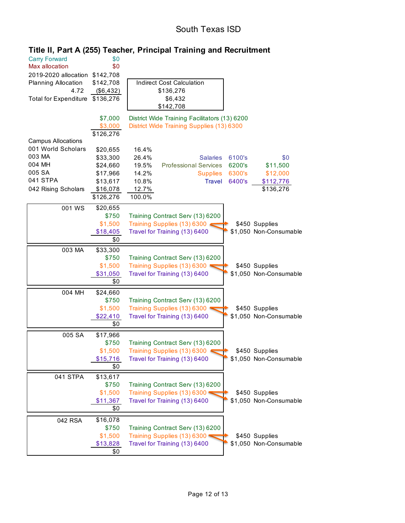### South Texas ISD

| <b>Carry Forward</b><br>Max allocation<br>2019-2020 allocation<br><b>Planning Allocation</b><br>4.72 | \$0<br>\$0<br>\$142,708<br>\$142,708<br>(\$6,432)                                 | <b>Indirect Cost Calculation</b><br>\$136,276                                                                                                                                                                                                        |
|------------------------------------------------------------------------------------------------------|-----------------------------------------------------------------------------------|------------------------------------------------------------------------------------------------------------------------------------------------------------------------------------------------------------------------------------------------------|
| <b>Total for Expenditure</b>                                                                         | \$136,276                                                                         | \$6,432<br>\$142,708                                                                                                                                                                                                                                 |
| <b>Campus Allocations</b>                                                                            | \$7,000<br>\$3,000<br>\$126,276                                                   | District Wide Training Facilitators (13) 6200<br>District Wide Training Supplies (13) 6300                                                                                                                                                           |
| 001 World Scholars<br>003 MA<br>004 MH<br>005 SA<br>041 STPA<br>042 Rising Scholars                  | \$20,655<br>\$33,300<br>\$24,660<br>\$17,966<br>\$13,617<br>\$16,078<br>\$126,276 | 16.4%<br>26.4%<br>6100's<br>\$0<br><b>Salaries</b><br>19.5%<br><b>Professional Services</b><br>6200's<br>\$11,500<br>14.2%<br>6300's<br>\$12,000<br><b>Supplies</b><br>10.8%<br>6400's<br>\$112,776<br><b>Travel</b><br>12.7%<br>\$136,276<br>100.0% |
| 001 WS                                                                                               | \$20,655<br>\$750<br>\$1,500<br>\$18,405<br>\$0                                   | Training Contract Serv (13) 6200<br>Training Supplies (13) 6300<br>\$450 Supplies<br>\$1,050 Non-Consumable<br>Travel for Training (13) 6400                                                                                                         |
| 003 MA                                                                                               | \$33,300<br>\$750<br>\$1,500<br>\$31,050<br>\$0                                   | Training Contract Serv (13) 6200<br>Training Supplies (13) 6300<br>\$450 Supplies<br>\$1,050 Non-Consumable<br>Travel for Training (13) 6400                                                                                                         |
| 004 MH                                                                                               | \$24,660<br>\$750<br>\$1,500<br>\$22,410<br>\$0                                   | Training Contract Serv (13) 6200<br>Training Supplies (13) 6300<br>\$450 Supplies<br>Travel for Training (13) 6400<br>\$1,050 Non-Consumable                                                                                                         |
| 005 SA                                                                                               | \$17,966<br>\$750<br>\$1,500<br>\$15,716<br>\$0                                   | Training Contract Serv (13) 6200<br>Training Supplies (13) 6300<br>\$450 Supplies<br>\$1,050 Non-Consumable<br>Travel for Training (13) 6400                                                                                                         |
| 041 STPA                                                                                             | \$13,617<br>\$750<br>\$1,500<br>\$11,367<br>\$0                                   | Training Contract Serv (13) 6200<br>Training Supplies (13) 6300<br>\$450 Supplies<br>Travel for Training (13) 6400<br>\$1,050 Non-Consumable                                                                                                         |
| 042 RSA                                                                                              | \$16,078<br>\$750<br>\$1,500<br>\$13,828<br>\$0                                   | Training Contract Serv (13) 6200<br>Training Supplies (13) 6300<br>\$450 Supplies<br>Travel for Training (13) 6400<br>\$1,050 Non-Consumable                                                                                                         |

#### **Title II, Part A (255) Teacher, Principal Training and Recruitment**